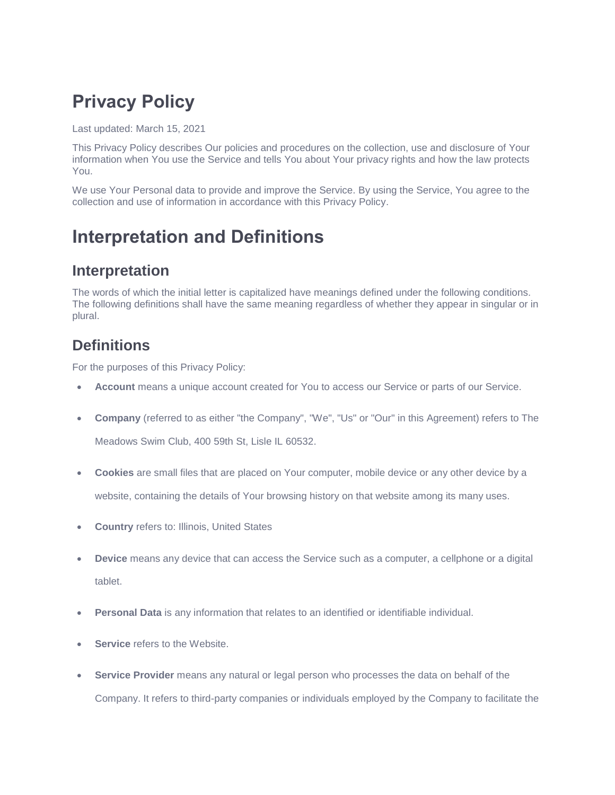# **Privacy Policy**

Last updated: March 15, 2021

This Privacy Policy describes Our policies and procedures on the collection, use and disclosure of Your information when You use the Service and tells You about Your privacy rights and how the law protects You.

We use Your Personal data to provide and improve the Service. By using the Service, You agree to the collection and use of information in accordance with this Privacy Policy.

## **Interpretation and Definitions**

### **Interpretation**

The words of which the initial letter is capitalized have meanings defined under the following conditions. The following definitions shall have the same meaning regardless of whether they appear in singular or in plural.

## **Definitions**

For the purposes of this Privacy Policy:

- Account means a unique account created for You to access our Service or parts of our Service.
- **Company** (referred to as either "the Company", "We", "Us" or "Our" in this Agreement) refers to The Meadows Swim Club, 400 59th St, Lisle IL 60532.
- **Cookies** are small files that are placed on Your computer, mobile device or any other device by a website, containing the details of Your browsing history on that website among its many uses.
- **Country** refers to: Illinois, United States
- **Device** means any device that can access the Service such as a computer, a cellphone or a digital tablet.
- **Personal Data** is any information that relates to an identified or identifiable individual.
- **Service** refers to the Website.
- **Service Provider** means any natural or legal person who processes the data on behalf of the Company. It refers to third-party companies or individuals employed by the Company to facilitate the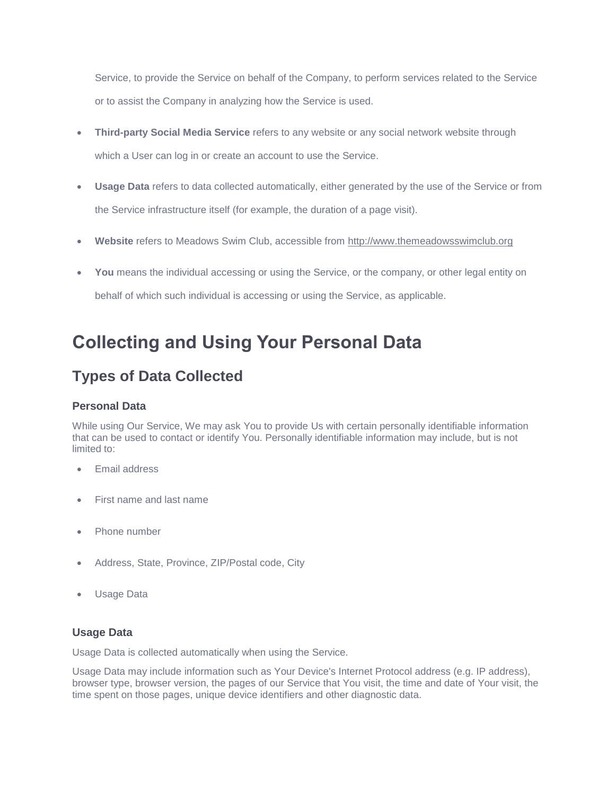Service, to provide the Service on behalf of the Company, to perform services related to the Service or to assist the Company in analyzing how the Service is used.

- **Third-party Social Media Service** refers to any website or any social network website through which a User can log in or create an account to use the Service.
- **Usage Data** refers to data collected automatically, either generated by the use of the Service or from the Service infrastructure itself (for example, the duration of a page visit).
- **Website** refers to Meadows Swim Club, accessible from [http://www.themeadowsswimclub.org](http://www.themeadowsswimclub.org/)
- **You** means the individual accessing or using the Service, or the company, or other legal entity on behalf of which such individual is accessing or using the Service, as applicable.

# **Collecting and Using Your Personal Data**

## **Types of Data Collected**

### **Personal Data**

While using Our Service, We may ask You to provide Us with certain personally identifiable information that can be used to contact or identify You. Personally identifiable information may include, but is not limited to:

- Email address
- First name and last name
- Phone number
- Address, State, Province, ZIP/Postal code, City
- Usage Data

### **Usage Data**

Usage Data is collected automatically when using the Service.

Usage Data may include information such as Your Device's Internet Protocol address (e.g. IP address), browser type, browser version, the pages of our Service that You visit, the time and date of Your visit, the time spent on those pages, unique device identifiers and other diagnostic data.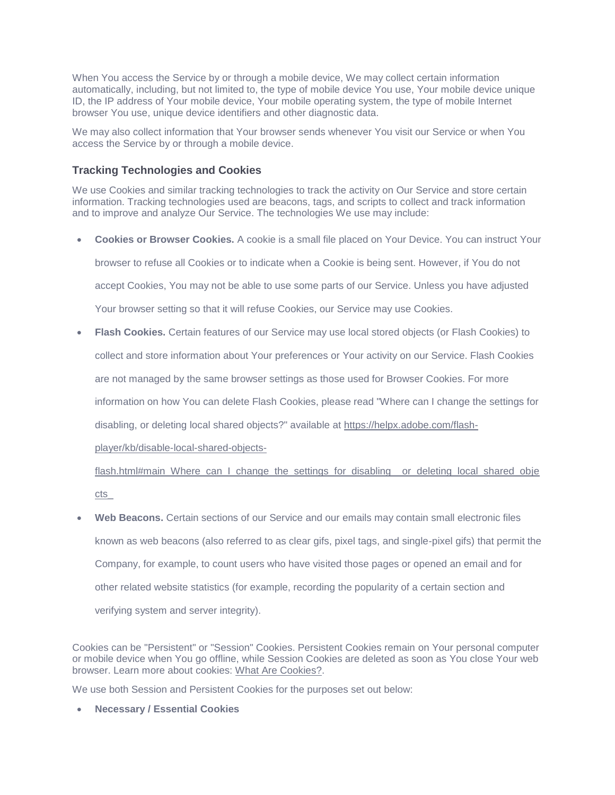When You access the Service by or through a mobile device, We may collect certain information automatically, including, but not limited to, the type of mobile device You use, Your mobile device unique ID, the IP address of Your mobile device, Your mobile operating system, the type of mobile Internet browser You use, unique device identifiers and other diagnostic data.

We may also collect information that Your browser sends whenever You visit our Service or when You access the Service by or through a mobile device.

### **Tracking Technologies and Cookies**

We use Cookies and similar tracking technologies to track the activity on Our Service and store certain information. Tracking technologies used are beacons, tags, and scripts to collect and track information and to improve and analyze Our Service. The technologies We use may include:

**Cookies or Browser Cookies.** A cookie is a small file placed on Your Device. You can instruct Your

browser to refuse all Cookies or to indicate when a Cookie is being sent. However, if You do not

accept Cookies, You may not be able to use some parts of our Service. Unless you have adjusted

Your browser setting so that it will refuse Cookies, our Service may use Cookies.

**Flash Cookies.** Certain features of our Service may use local stored objects (or Flash Cookies) to

collect and store information about Your preferences or Your activity on our Service. Flash Cookies

are not managed by the same browser settings as those used for Browser Cookies. For more

information on how You can delete Flash Cookies, please read "Where can I change the settings for

disabling, or deleting local shared objects?" available at [https://helpx.adobe.com/flash-](https://helpx.adobe.com/flash-player/kb/disable-local-shared-objects-flash.html#main_Where_can_I_change_the_settings_for_disabling__or_deleting_local_shared_objects_)

[player/kb/disable-local-shared-objects-](https://helpx.adobe.com/flash-player/kb/disable-local-shared-objects-flash.html#main_Where_can_I_change_the_settings_for_disabling__or_deleting_local_shared_objects_)

[flash.html#main\\_Where\\_can\\_I\\_change\\_the\\_settings\\_for\\_disabling\\_\\_or\\_deleting\\_local\\_shared\\_obje](https://helpx.adobe.com/flash-player/kb/disable-local-shared-objects-flash.html#main_Where_can_I_change_the_settings_for_disabling__or_deleting_local_shared_objects_) [cts\\_](https://helpx.adobe.com/flash-player/kb/disable-local-shared-objects-flash.html#main_Where_can_I_change_the_settings_for_disabling__or_deleting_local_shared_objects_)

 **Web Beacons.** Certain sections of our Service and our emails may contain small electronic files known as web beacons (also referred to as clear gifs, pixel tags, and single-pixel gifs) that permit the Company, for example, to count users who have visited those pages or opened an email and for other related website statistics (for example, recording the popularity of a certain section and verifying system and server integrity).

Cookies can be "Persistent" or "Session" Cookies. Persistent Cookies remain on Your personal computer or mobile device when You go offline, while Session Cookies are deleted as soon as You close Your web browser. Learn more about cookies: [What Are Cookies?.](https://www.privacypolicies.com/blog/cookies/)

We use both Session and Persistent Cookies for the purposes set out below:

**Necessary / Essential Cookies**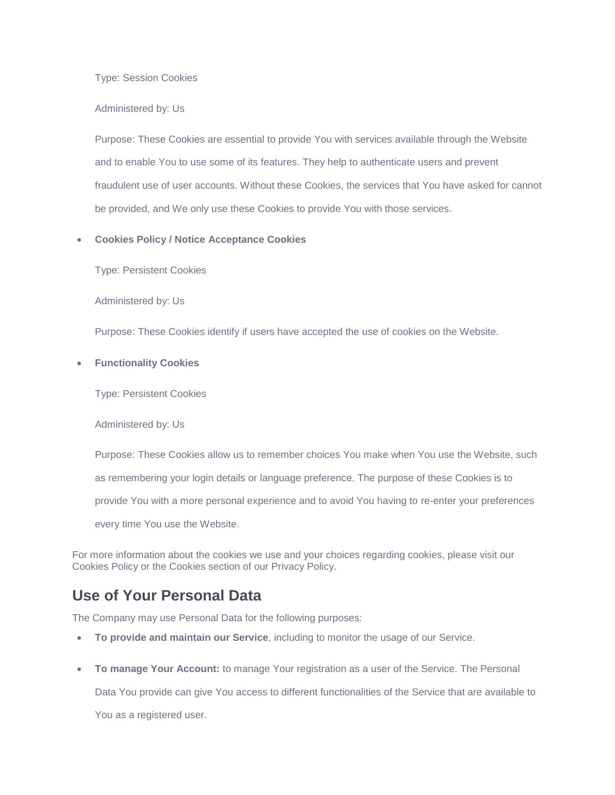Type: Session Cookies

#### Administered by: Us

Purpose: These Cookies are essential to provide You with services available through the Website and to enable You to use some of its features. They help to authenticate users and prevent fraudulent use of user accounts. Without these Cookies, the services that You have asked for cannot be provided, and We only use these Cookies to provide You with those services.

#### **Cookies Policy / Notice Acceptance Cookies**

Type: Persistent Cookies

Administered by: Us

Purpose: These Cookies identify if users have accepted the use of cookies on the Website.

### **Functionality Cookies**

Type: Persistent Cookies

Administered by: Us

Purpose: These Cookies allow us to remember choices You make when You use the Website, such as remembering your login details or language preference. The purpose of these Cookies is to provide You with a more personal experience and to avoid You having to re-enter your preferences every time You use the Website.

For more information about the cookies we use and your choices regarding cookies, please visit our Cookies Policy or the Cookies section of our Privacy Policy.

### **Use of Your Personal Data**

The Company may use Personal Data for the following purposes:

- **To provide and maintain our Service**, including to monitor the usage of our Service.
- **To manage Your Account:** to manage Your registration as a user of the Service. The Personal

Data You provide can give You access to different functionalities of the Service that are available to

You as a registered user.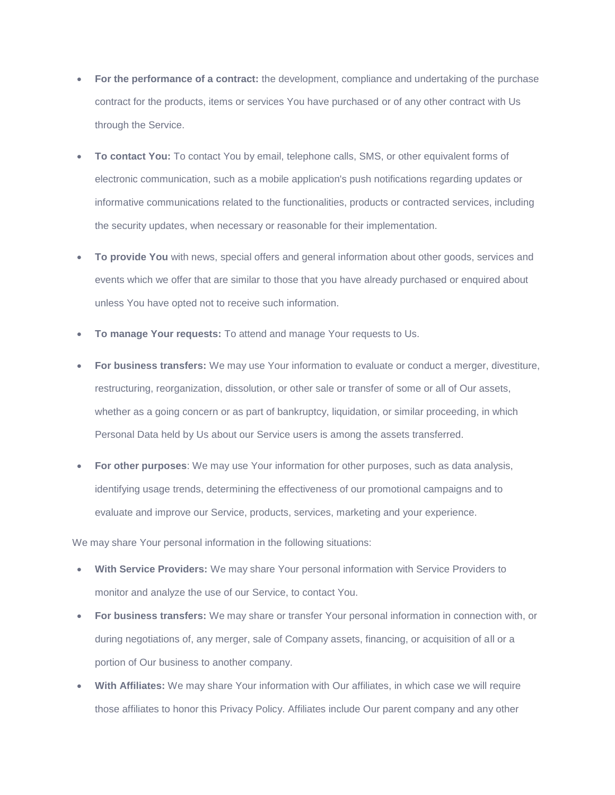- For the performance of a contract: the development, compliance and undertaking of the purchase contract for the products, items or services You have purchased or of any other contract with Us through the Service.
- **To contact You:** To contact You by email, telephone calls, SMS, or other equivalent forms of electronic communication, such as a mobile application's push notifications regarding updates or informative communications related to the functionalities, products or contracted services, including the security updates, when necessary or reasonable for their implementation.
- **To provide You** with news, special offers and general information about other goods, services and events which we offer that are similar to those that you have already purchased or enquired about unless You have opted not to receive such information.
- **To manage Your requests:** To attend and manage Your requests to Us.
- **For business transfers:** We may use Your information to evaluate or conduct a merger, divestiture, restructuring, reorganization, dissolution, or other sale or transfer of some or all of Our assets, whether as a going concern or as part of bankruptcy, liquidation, or similar proceeding, in which Personal Data held by Us about our Service users is among the assets transferred.
- **For other purposes**: We may use Your information for other purposes, such as data analysis, identifying usage trends, determining the effectiveness of our promotional campaigns and to evaluate and improve our Service, products, services, marketing and your experience.

We may share Your personal information in the following situations:

- **With Service Providers:** We may share Your personal information with Service Providers to monitor and analyze the use of our Service, to contact You.
- **For business transfers:** We may share or transfer Your personal information in connection with, or during negotiations of, any merger, sale of Company assets, financing, or acquisition of all or a portion of Our business to another company.
- **With Affiliates:** We may share Your information with Our affiliates, in which case we will require those affiliates to honor this Privacy Policy. Affiliates include Our parent company and any other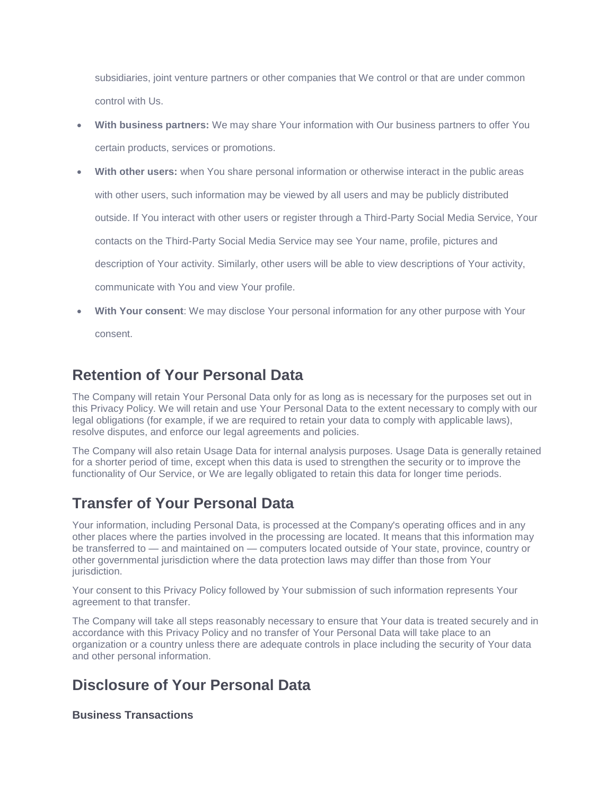subsidiaries, joint venture partners or other companies that We control or that are under common control with Us.

- **With business partners:** We may share Your information with Our business partners to offer You certain products, services or promotions.
- **With other users:** when You share personal information or otherwise interact in the public areas with other users, such information may be viewed by all users and may be publicly distributed outside. If You interact with other users or register through a Third-Party Social Media Service, Your contacts on the Third-Party Social Media Service may see Your name, profile, pictures and description of Your activity. Similarly, other users will be able to view descriptions of Your activity, communicate with You and view Your profile.
- **With Your consent**: We may disclose Your personal information for any other purpose with Your consent.

### **Retention of Your Personal Data**

The Company will retain Your Personal Data only for as long as is necessary for the purposes set out in this Privacy Policy. We will retain and use Your Personal Data to the extent necessary to comply with our legal obligations (for example, if we are required to retain your data to comply with applicable laws), resolve disputes, and enforce our legal agreements and policies.

The Company will also retain Usage Data for internal analysis purposes. Usage Data is generally retained for a shorter period of time, except when this data is used to strengthen the security or to improve the functionality of Our Service, or We are legally obligated to retain this data for longer time periods.

## **Transfer of Your Personal Data**

Your information, including Personal Data, is processed at the Company's operating offices and in any other places where the parties involved in the processing are located. It means that this information may be transferred to — and maintained on — computers located outside of Your state, province, country or other governmental jurisdiction where the data protection laws may differ than those from Your jurisdiction.

Your consent to this Privacy Policy followed by Your submission of such information represents Your agreement to that transfer.

The Company will take all steps reasonably necessary to ensure that Your data is treated securely and in accordance with this Privacy Policy and no transfer of Your Personal Data will take place to an organization or a country unless there are adequate controls in place including the security of Your data and other personal information.

## **Disclosure of Your Personal Data**

**Business Transactions**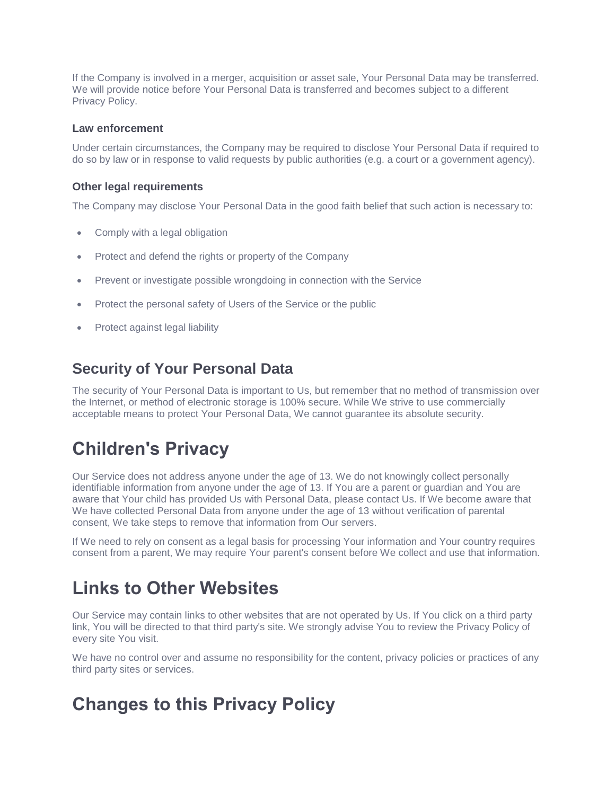If the Company is involved in a merger, acquisition or asset sale, Your Personal Data may be transferred. We will provide notice before Your Personal Data is transferred and becomes subject to a different Privacy Policy.

#### **Law enforcement**

Under certain circumstances, the Company may be required to disclose Your Personal Data if required to do so by law or in response to valid requests by public authorities (e.g. a court or a government agency).

#### **Other legal requirements**

The Company may disclose Your Personal Data in the good faith belief that such action is necessary to:

- Comply with a legal obligation
- Protect and defend the rights or property of the Company
- Prevent or investigate possible wrongdoing in connection with the Service
- Protect the personal safety of Users of the Service or the public
- Protect against legal liability

### **Security of Your Personal Data**

The security of Your Personal Data is important to Us, but remember that no method of transmission over the Internet, or method of electronic storage is 100% secure. While We strive to use commercially acceptable means to protect Your Personal Data, We cannot guarantee its absolute security.

# **Children's Privacy**

Our Service does not address anyone under the age of 13. We do not knowingly collect personally identifiable information from anyone under the age of 13. If You are a parent or guardian and You are aware that Your child has provided Us with Personal Data, please contact Us. If We become aware that We have collected Personal Data from anyone under the age of 13 without verification of parental consent, We take steps to remove that information from Our servers.

If We need to rely on consent as a legal basis for processing Your information and Your country requires consent from a parent, We may require Your parent's consent before We collect and use that information.

# **Links to Other Websites**

Our Service may contain links to other websites that are not operated by Us. If You click on a third party link, You will be directed to that third party's site. We strongly advise You to review the Privacy Policy of every site You visit.

We have no control over and assume no responsibility for the content, privacy policies or practices of any third party sites or services.

## **Changes to this Privacy Policy**